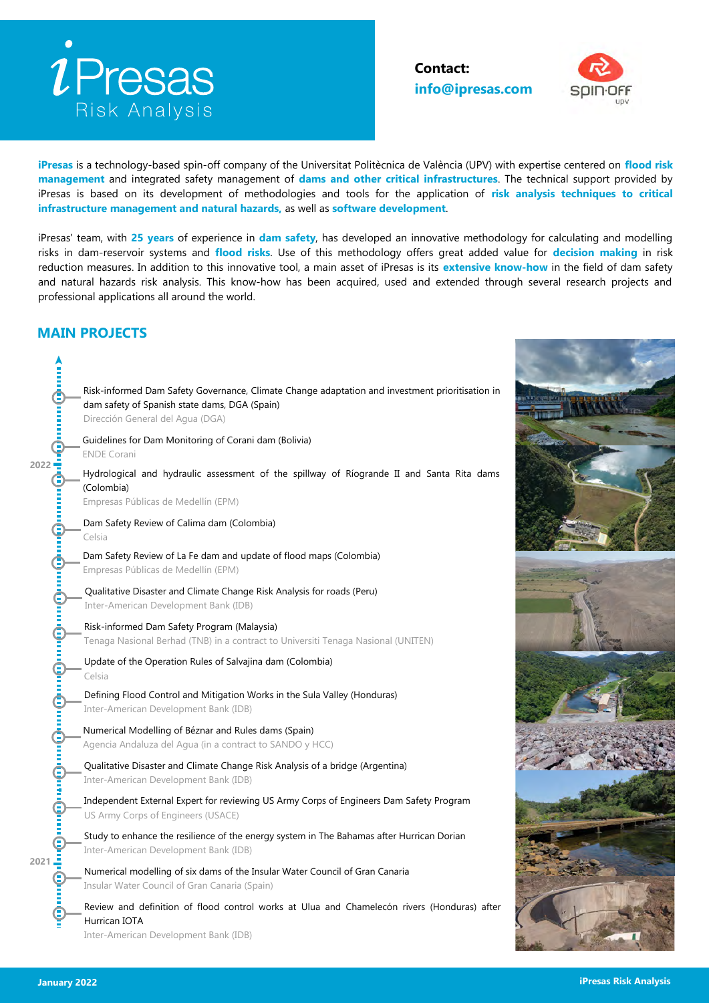

# **Contact: info@ipresas.com**



**iPresas** is a technology-based spin-off company of the Universitat Politècnica de València (UPV) with expertise centered on **flood risk management** and integrated safety management of **dams and other critical infrastructures**. The technical support provided by iPresas is based on its development of methodologies and tools for the application of **risk analysis techniques to critical infrastructure management and natural hazards,** as well as **software development**.

iPresas' team, with **25 years** of experience in **dam safety**, has developed an innovative methodology for calculating and modelling risks in dam-reservoir systems and **flood risks**. Use of this methodology offers great added value for **decision making** in risk reduction measures. In addition to this innovative tool, a main asset of iPresas is its **extensive know-how** in the field of dam safety and natural hazards risk analysis. This know-how has been acquired, used and extended through several research projects and professional applications all around the world.

#### **MAIN PROJECTS**

| A = = = = = = = = = =              | Risk-informed Dam Safety Governance, Climate Change adaptation and investment prioritisation in<br>dam safety of Spanish state dams, DGA (Spain)<br>Dirección General del Agua (DGA) |
|------------------------------------|--------------------------------------------------------------------------------------------------------------------------------------------------------------------------------------|
| $2022 -$                           | Guidelines for Dam Monitoring of Corani dam (Bolivia)<br><b>ENDE Corani</b>                                                                                                          |
|                                    | Hydrological and hydraulic assessment of the spillway of Ríogrande II and Santa Rita dams<br>(Colombia)<br>Empresas Públicas de Medellín (EPM)                                       |
|                                    | Dam Safety Review of Calima dam (Colombia)<br>Celsia                                                                                                                                 |
|                                    | Dam Safety Review of La Fe dam and update of flood maps (Colombia)<br>Empresas Públicas de Medellín (EPM)                                                                            |
|                                    | Qualitative Disaster and Climate Change Risk Analysis for roads (Peru)<br>Inter-American Development Bank (IDB)                                                                      |
| பர்பாரிப்பரிப்படியாரிய             | Risk-informed Dam Safety Program (Malaysia)<br>Tenaga Nasional Berhad (TNB) in a contract to Universiti Tenaga Nasional (UNITEN)                                                     |
|                                    | Update of the Operation Rules of Salvajina dam (Colombia)<br>Celsia                                                                                                                  |
|                                    | Defining Flood Control and Mitigation Works in the Sula Valley (Honduras)<br>Inter-American Development Bank (IDB)                                                                   |
|                                    | Numerical Modelling of Béznar and Rules dams (Spain)<br>Agencia Andaluza del Agua (in a contract to SANDO y HCC)                                                                     |
|                                    | Qualitative Disaster and Climate Change Risk Analysis of a bridge (Argentina)<br>Inter-American Development Bank (IDB)                                                               |
|                                    | Independent External Expert for reviewing US Army Corps of Engineers Dam Safety Program<br>US Army Corps of Engineers (USACE)                                                        |
| »<br>Սահանական առան առան առան<br>Ա | Study to enhance the resilience of the energy system in The Bahamas after Hurrican Dorian<br>Inter-American Development Bank (IDB)                                                   |
|                                    | Numerical modelling of six dams of the Insular Water Council of Gran Canaria<br>Insular Water Council of Gran Canaria (Spain)                                                        |
|                                    | Review and definition of flood control works at Ulua and Chamelecón rivers (Honduras) after<br>Hurrican IOTA<br>Inter-American Development Bank (IDB)                                |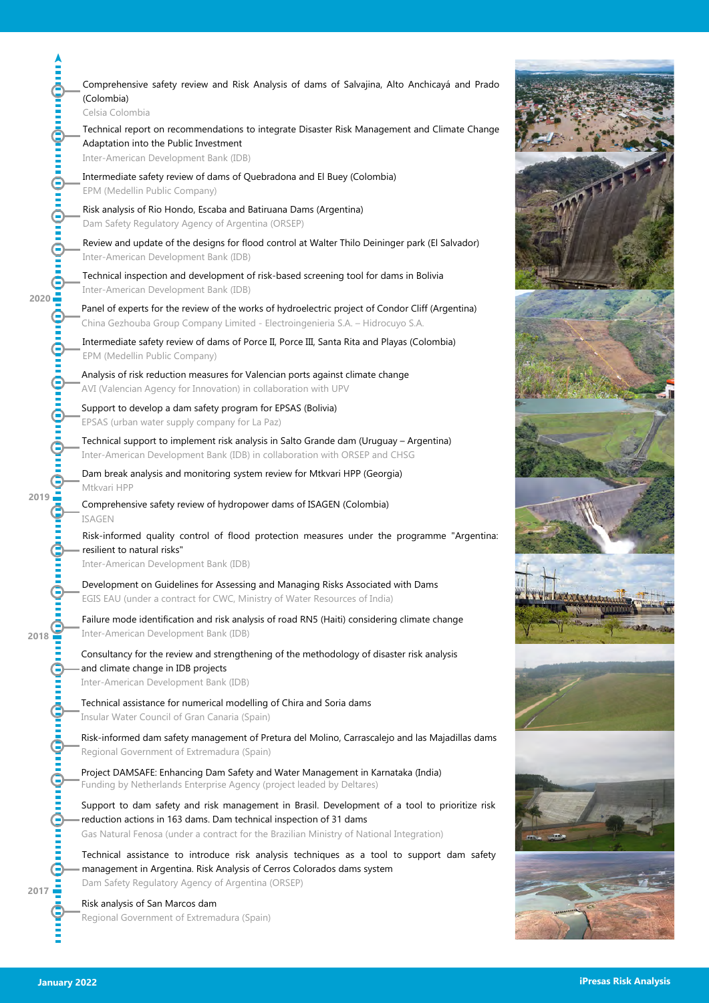|                            | Comprehensive safety review and Risk Analysis of dams of Salvajina, Alto Anchicayá and Prado<br>(Colombia)                                                                                                                                                      |
|----------------------------|-----------------------------------------------------------------------------------------------------------------------------------------------------------------------------------------------------------------------------------------------------------------|
|                            | Celsia Colombia<br>Technical report on recommendations to integrate Disaster Risk Management and Climate Change<br>Adaptation into the Public Investment                                                                                                        |
|                            | Inter-American Development Bank (IDB)                                                                                                                                                                                                                           |
|                            | Intermediate safety review of dams of Quebradona and El Buey (Colombia)<br>EPM (Medellin Public Company)                                                                                                                                                        |
|                            | Risk analysis of Rio Hondo, Escaba and Batiruana Dams (Argentina)<br>Dam Safety Regulatory Agency of Argentina (ORSEP)                                                                                                                                          |
|                            | Review and update of the designs for flood control at Walter Thilo Deininger park (El Salvador)<br>Inter-American Development Bank (IDB)                                                                                                                        |
|                            | Technical inspection and development of risk-based screening tool for dams in Bolivia<br>Inter-American Development Bank (IDB)                                                                                                                                  |
|                            | Panel of experts for the review of the works of hydroelectric project of Condor Cliff (Argentina)<br>China Gezhouba Group Company Limited - Electroingenieria S.A. - Hidrocuyo S.A.                                                                             |
|                            | Intermediate safety review of dams of Porce II, Porce III, Santa Rita and Playas (Colombia)<br>EPM (Medellin Public Company)                                                                                                                                    |
|                            | Analysis of risk reduction measures for Valencian ports against climate change<br>AVI (Valencian Agency for Innovation) in collaboration with UPV                                                                                                               |
|                            | Support to develop a dam safety program for EPSAS (Bolivia)<br>EPSAS (urban water supply company for La Paz)                                                                                                                                                    |
|                            | Technical support to implement risk analysis in Salto Grande dam (Uruguay - Argentina)<br>Inter-American Development Bank (IDB) in collaboration with ORSEP and CHSG                                                                                            |
|                            | Dam break analysis and monitoring system review for Mtkvari HPP (Georgia)<br>Mtkvari HPP                                                                                                                                                                        |
|                            | Comprehensive safety review of hydropower dams of ISAGEN (Colombia)<br><b>ISAGEN</b>                                                                                                                                                                            |
|                            | Risk-informed quality control of flood protection measures under the programme "Argentina:<br>resilient to natural risks"<br>Inter-American Development Bank (IDB)                                                                                              |
|                            | Development on Guidelines for Assessing and Managing Risks Associated with Dams<br>EGIS EAU (under a contract for CWC, Ministry of Water Resources of India)                                                                                                    |
| $rac{1}{2018}$             | Failure mode identification and risk analysis of road RN5 (Haiti) considering climate change<br>Inter-American Development Bank (IDB)                                                                                                                           |
|                            | Consultancy for the review and strengthening of the methodology of disaster risk analysis<br>and climate change in IDB projects                                                                                                                                 |
|                            | Inter-American Development Bank (IDB)                                                                                                                                                                                                                           |
|                            | Technical assistance for numerical modelling of Chira and Soria dams<br>Insular Water Council of Gran Canaria (Spain)                                                                                                                                           |
|                            | Risk-informed dam safety management of Pretura del Molino, Carrascalejo and las Majadillas dams<br>Regional Government of Extremadura (Spain)                                                                                                                   |
|                            | Project DAMSAFE: Enhancing Dam Safety and Water Management in Karnataka (India)<br>Funding by Netherlands Enterprise Agency (project leaded by Deltares)                                                                                                        |
| ீ<br>மாம்பாம்பாம்பாம்பியம் | Support to dam safety and risk management in Brasil. Development of a tool to prioritize risk<br>reduction actions in 163 dams. Dam technical inspection of 31 dams<br>Gas Natural Fenosa (under a contract for the Brazilian Ministry of National Integration) |
|                            | Technical assistance to introduce risk analysis techniques as a tool to support dam safety<br>management in Argentina. Risk Analysis of Cerros Colorados dams system<br>Dam Safety Regulatory Agency of Argentina (ORSEP)                                       |
|                            | Risk analysis of San Marcos dam<br>Regional Government of Extremadura (Spain)                                                                                                                                                                                   |



 $\blacktriangle$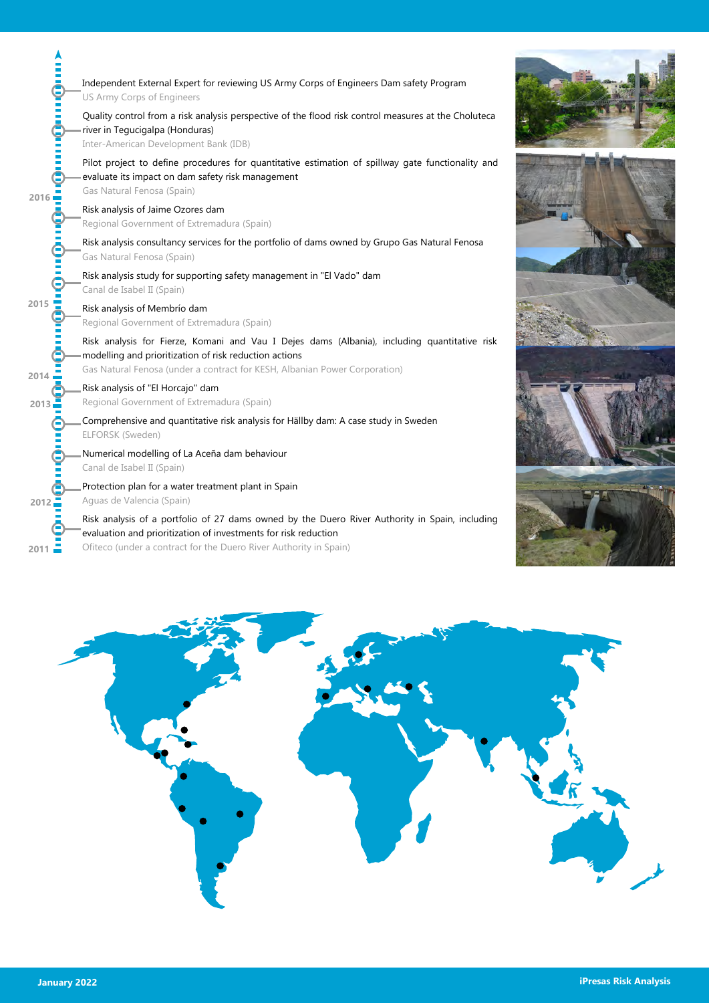|                        | Independent External Expert for reviewing US Army Corps of Engineers Dam safety Program<br>US Army Corps of Engineers                                                                                                                  |
|------------------------|----------------------------------------------------------------------------------------------------------------------------------------------------------------------------------------------------------------------------------------|
| ė                      | Quality control from a risk analysis perspective of the flood risk control measures at the Choluteca<br>river in Tequcigalpa (Honduras)<br>Inter-American Development Bank (IDB)                                                       |
| ė                      | Pilot project to define procedures for quantitative estimation of spillway gate functionality and<br>evaluate its impact on dam safety risk management<br>Gas Natural Fenosa (Spain)                                                   |
|                        | Risk analysis of Jaime Ozores dam<br>Regional Government of Extremadura (Spain)                                                                                                                                                        |
|                        | Risk analysis consultancy services for the portfolio of dams owned by Grupo Gas Natural Fenosa<br>Gas Natural Fenosa (Spain)                                                                                                           |
|                        | Risk analysis study for supporting safety management in "El Vado" dam<br>Canal de Isabel II (Spain)                                                                                                                                    |
|                        | Risk analysis of Membrío dam<br>Regional Government of Extremadura (Spain)                                                                                                                                                             |
| ė<br>2014 <sub>1</sub> | Risk analysis for Fierze, Komani and Vau I Dejes dams (Albania), including quantitative risk<br>modelling and prioritization of risk reduction actions<br>Gas Natural Fenosa (under a contract for KESH, Albanian Power Corporation)   |
| 2013 <sub>1</sub>      | Risk analysis of "El Horcajo" dam<br>Regional Government of Extremadura (Spain)                                                                                                                                                        |
|                        | Comprehensive and quantitative risk analysis for Hällby dam: A case study in Sweden<br>ELFORSK (Sweden)                                                                                                                                |
| <b>OHOHO</b>           | Numerical modelling of La Aceña dam behaviour<br>Canal de Isabel II (Spain)                                                                                                                                                            |
| $2012 -$               | Protection plan for a water treatment plant in Spain<br>Aguas de Valencia (Spain)                                                                                                                                                      |
| 2011                   | Risk analysis of a portfolio of 27 dams owned by the Duero River Authority in Spain, including<br>evaluation and prioritization of investments for risk reduction<br>Ofiteco (under a contract for the Duero River Authority in Spain) |







 $\blacktriangle$